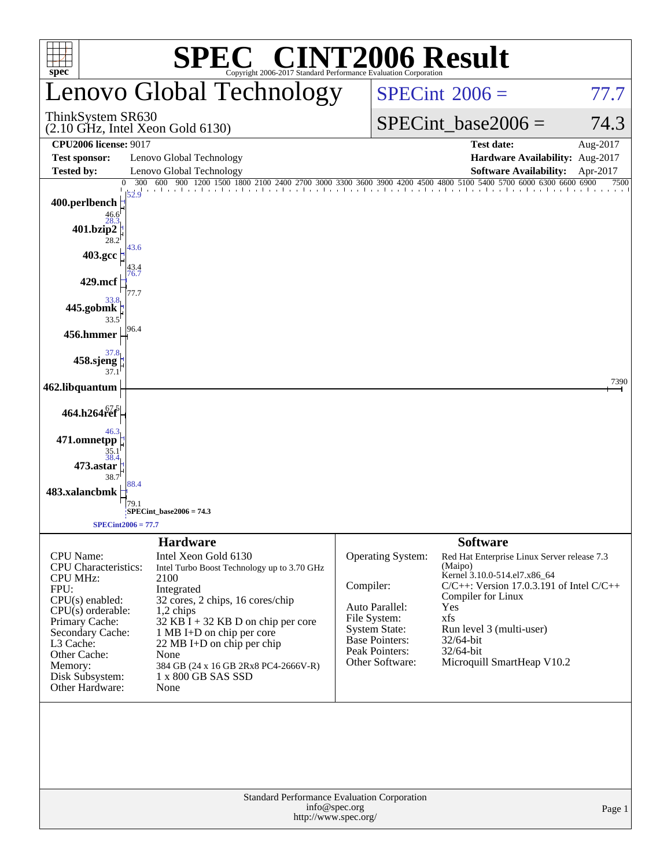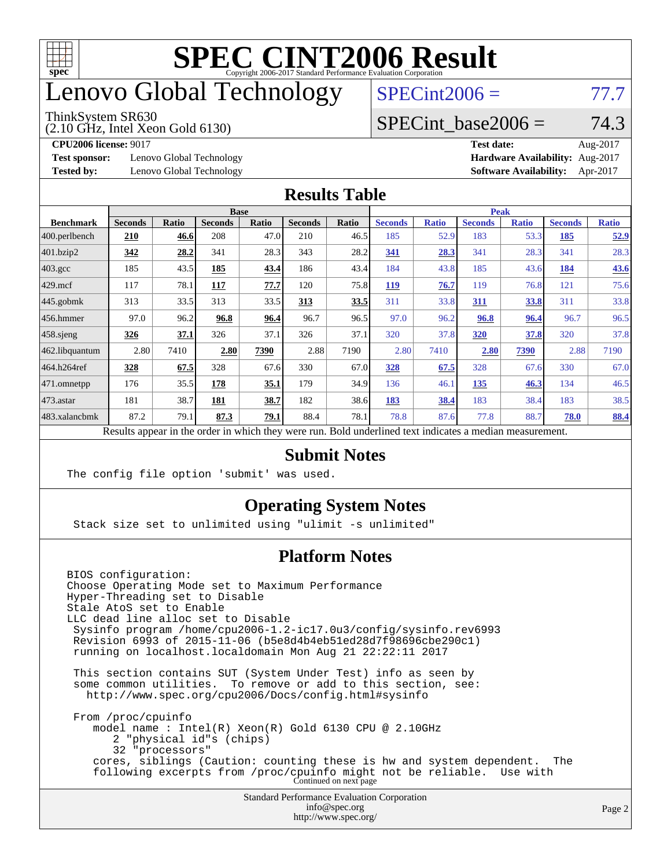

## enovo Global Technology

#### ThinkSystem SR630

(2.10 GHz, Intel Xeon Gold 6130)

 $SPECint2006 = 77.7$  $SPECint2006 = 77.7$ 

#### SPECint base2006 =  $74.3$

**[Test sponsor:](http://www.spec.org/auto/cpu2006/Docs/result-fields.html#Testsponsor)** Lenovo Global Technology **[Hardware Availability:](http://www.spec.org/auto/cpu2006/Docs/result-fields.html#HardwareAvailability)** Aug-2017

**[CPU2006 license:](http://www.spec.org/auto/cpu2006/Docs/result-fields.html#CPU2006license)** 9017 **[Test date:](http://www.spec.org/auto/cpu2006/Docs/result-fields.html#Testdate)** Aug-2017 **[Tested by:](http://www.spec.org/auto/cpu2006/Docs/result-fields.html#Testedby)** Lenovo Global Technology **[Software Availability:](http://www.spec.org/auto/cpu2006/Docs/result-fields.html#SoftwareAvailability)** Apr-2017

#### **[Results Table](http://www.spec.org/auto/cpu2006/Docs/result-fields.html#ResultsTable)**

|                                                                                                          | <b>Base</b>    |              |                |       |                | <b>Peak</b> |                |              |                |              |                |              |
|----------------------------------------------------------------------------------------------------------|----------------|--------------|----------------|-------|----------------|-------------|----------------|--------------|----------------|--------------|----------------|--------------|
| <b>Benchmark</b>                                                                                         | <b>Seconds</b> | <b>Ratio</b> | <b>Seconds</b> | Ratio | <b>Seconds</b> | Ratio       | <b>Seconds</b> | <b>Ratio</b> | <b>Seconds</b> | <b>Ratio</b> | <b>Seconds</b> | <b>Ratio</b> |
| $ 400$ .perlbench                                                                                        | 210            | 46.6         | 208            | 47.0  | 210            | 46.5        | 185            | 52.9         | 183            | 53.3         | 185            | 52.9         |
| $401$ .bzip2                                                                                             | <u>342</u>     | 28.2         | 341            | 28.3  | 343            | 28.2        | 341            | 28.3         | 341            | 28.3         | 341            | 28.3         |
| $403.\mathrm{gcc}$                                                                                       | 185            | 43.5         | 185            | 43.4  | 186            | 43.4        | 184            | 43.8         | 185            | 43.6         | 184            | <u>43.6</u>  |
| $429$ mcf                                                                                                | 117            | 78.1         | 117            | 77.7  | 120            | 75.8        | <b>119</b>     | 76.7         | 119            | 76.8         | 121            | 75.6         |
| $445$ .gobmk                                                                                             | 313            | 33.5         | 313            | 33.5  | 313            | 33.5        | 311            | 33.8         | 311            | 33.8         | 311            | 33.8         |
| $456.$ hmmer                                                                                             | 97.0           | 96.2         | 96.8           | 96.4  | 96.7           | 96.5        | 97.0           | 96.2         | 96.8           | 96.4         | 96.7           | 96.5         |
| $458$ .sjeng                                                                                             | 326            | 37.1         | 326            | 37.1  | 326            | 37.1        | 320            | 37.8         | 320            | 37.8         | 320            | 37.8         |
| 462.libquantum                                                                                           | 2.80           | 7410         | 2.80           | 7390  | 2.88           | 7190        | 2.80           | 7410         | 2.80           | 7390         | 2.88           | 7190         |
| 464.h264ref                                                                                              | 328            | 67.5         | 328            | 67.6  | 330            | 67.0        | 328            | 67.5         | 328            | 67.6         | 330            | 67.0         |
| $ 471$ .omnetpp                                                                                          | 176            | 35.5         | 178            | 35.1  | 179            | 34.9        | 136            | 46.1         | 135            | 46.3         | 134            | 46.5         |
| $473$ . astar                                                                                            | 181            | 38.7         | 181            | 38.7  | 182            | 38.6        | 183            | 38.4         | 183            | 38.4         | 183            | 38.5         |
| 483.xalancbmk                                                                                            | 87.2           | 79.1         | 87.3           | 79.1  | 88.4           | 78.1        | 78.8           | 87.6         | 77.8           | 88.7         | 78.0           | 88.4         |
| Results appear in the order in which they were run. Bold underlined text indicates a median measurement. |                |              |                |       |                |             |                |              |                |              |                |              |

#### **[Submit Notes](http://www.spec.org/auto/cpu2006/Docs/result-fields.html#SubmitNotes)**

The config file option 'submit' was used.

#### **[Operating System Notes](http://www.spec.org/auto/cpu2006/Docs/result-fields.html#OperatingSystemNotes)**

Stack size set to unlimited using "ulimit -s unlimited"

#### **[Platform Notes](http://www.spec.org/auto/cpu2006/Docs/result-fields.html#PlatformNotes)**

Standard Performance Evaluation Corporation [info@spec.org](mailto:info@spec.org) BIOS configuration: Choose Operating Mode set to Maximum Performance Hyper-Threading set to Disable Stale AtoS set to Enable LLC dead line alloc set to Disable Sysinfo program /home/cpu2006-1.2-ic17.0u3/config/sysinfo.rev6993 Revision 6993 of 2015-11-06 (b5e8d4b4eb51ed28d7f98696cbe290c1) running on localhost.localdomain Mon Aug 21 22:22:11 2017 This section contains SUT (System Under Test) info as seen by some common utilities. To remove or add to this section, see: <http://www.spec.org/cpu2006/Docs/config.html#sysinfo> From /proc/cpuinfo model name : Intel(R) Xeon(R) Gold 6130 CPU @ 2.10GHz 2 "physical id"s (chips) 32 "processors" cores, siblings (Caution: counting these is hw and system dependent. The following excerpts from /proc/cpuinfo might not be reliable. Use with Continued on next page

<http://www.spec.org/>

Page 2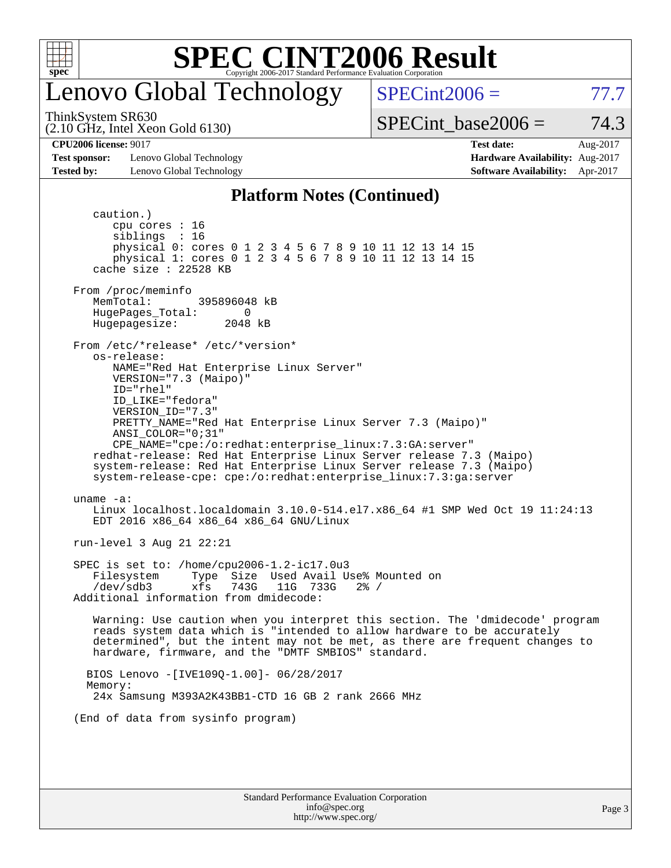

### enovo Global Technology

 $SPECint2006 = 77.7$  $SPECint2006 = 77.7$ 

(2.10 GHz, Intel Xeon Gold 6130) ThinkSystem SR630

SPECint base2006 =  $74.3$ 

**[Test sponsor:](http://www.spec.org/auto/cpu2006/Docs/result-fields.html#Testsponsor)** Lenovo Global Technology **[Hardware Availability:](http://www.spec.org/auto/cpu2006/Docs/result-fields.html#HardwareAvailability)** Aug-2017 **[Tested by:](http://www.spec.org/auto/cpu2006/Docs/result-fields.html#Testedby)** Lenovo Global Technology **[Software Availability:](http://www.spec.org/auto/cpu2006/Docs/result-fields.html#SoftwareAvailability)** Apr-2017

**[CPU2006 license:](http://www.spec.org/auto/cpu2006/Docs/result-fields.html#CPU2006license)** 9017 **[Test date:](http://www.spec.org/auto/cpu2006/Docs/result-fields.html#Testdate)** Aug-2017

#### **[Platform Notes \(Continued\)](http://www.spec.org/auto/cpu2006/Docs/result-fields.html#PlatformNotes)**

Standard Performance Evaluation Corporation [info@spec.org](mailto:info@spec.org) caution.) cpu cores : 16 siblings : 16 physical 0: cores 0 1 2 3 4 5 6 7 8 9 10 11 12 13 14 15 physical 1: cores 0 1 2 3 4 5 6 7 8 9 10 11 12 13 14 15 cache size : 22528 KB From /proc/meminfo MemTotal: 395896048 kB HugePages\_Total: 0<br>Hugepagesize: 2048 kB Hugepagesize: From /etc/\*release\* /etc/\*version\* os-release: NAME="Red Hat Enterprise Linux Server" VERSION="7.3 (Maipo)" ID="rhel" ID\_LIKE="fedora" VERSION\_ID="7.3" PRETTY\_NAME="Red Hat Enterprise Linux Server 7.3 (Maipo)" ANSI\_COLOR="0;31" CPE\_NAME="cpe:/o:redhat:enterprise\_linux:7.3:GA:server" redhat-release: Red Hat Enterprise Linux Server release 7.3 (Maipo) system-release: Red Hat Enterprise Linux Server release 7.3 (Maipo) system-release-cpe: cpe:/o:redhat:enterprise\_linux:7.3:ga:server uname -a: Linux localhost.localdomain 3.10.0-514.el7.x86\_64 #1 SMP Wed Oct 19 11:24:13 EDT 2016 x86\_64 x86\_64 x86\_64 GNU/Linux run-level 3 Aug 21 22:21 SPEC is set to: /home/cpu2006-1.2-ic17.0u3 Filesystem Type Size Used Avail Use% Mounted on<br>
/dev/sdb3 xfs 743G 11G 733G 2% / /dev/sdb3 xfs 743G 11G 733G 2% / Additional information from dmidecode: Warning: Use caution when you interpret this section. The 'dmidecode' program reads system data which is "intended to allow hardware to be accurately determined", but the intent may not be met, as there are frequent changes to hardware, firmware, and the "DMTF SMBIOS" standard. BIOS Lenovo -[IVE109Q-1.00]- 06/28/2017 Memory: 24x Samsung M393A2K43BB1-CTD 16 GB 2 rank 2666 MHz (End of data from sysinfo program)

<http://www.spec.org/>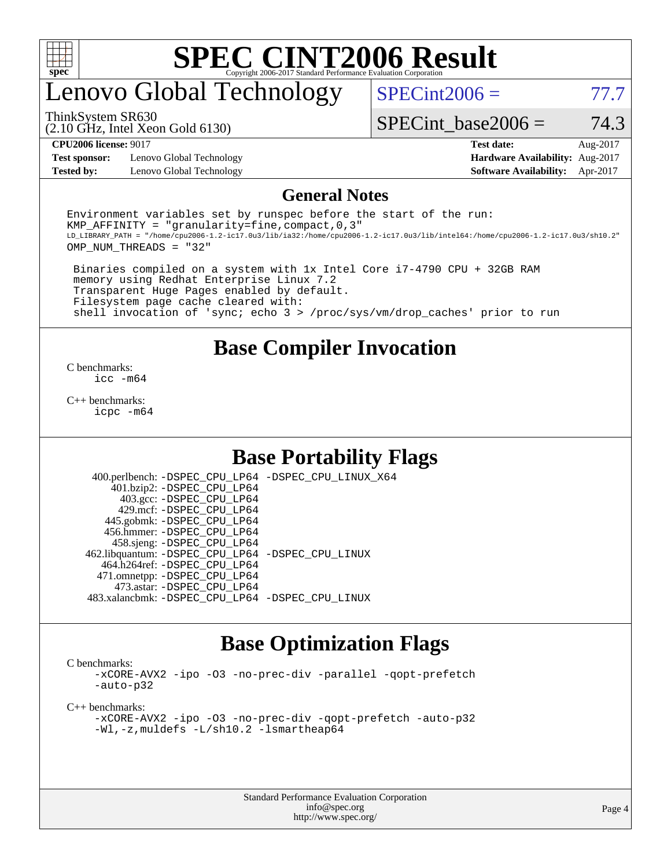

### enovo Global Technology

 $SPECint2006 = 77.7$  $SPECint2006 = 77.7$ 

(2.10 GHz, Intel Xeon Gold 6130) ThinkSystem SR630

SPECint base2006 =  $74.3$ 

**[Test sponsor:](http://www.spec.org/auto/cpu2006/Docs/result-fields.html#Testsponsor)** Lenovo Global Technology **[Hardware Availability:](http://www.spec.org/auto/cpu2006/Docs/result-fields.html#HardwareAvailability)** Aug-2017 **[Tested by:](http://www.spec.org/auto/cpu2006/Docs/result-fields.html#Testedby)** Lenovo Global Technology **[Software Availability:](http://www.spec.org/auto/cpu2006/Docs/result-fields.html#SoftwareAvailability)** Apr-2017

**[CPU2006 license:](http://www.spec.org/auto/cpu2006/Docs/result-fields.html#CPU2006license)** 9017 **[Test date:](http://www.spec.org/auto/cpu2006/Docs/result-fields.html#Testdate)** Aug-2017

#### **[General Notes](http://www.spec.org/auto/cpu2006/Docs/result-fields.html#GeneralNotes)**

Environment variables set by runspec before the start of the run: KMP AFFINITY = "granularity=fine, compact,  $0,3$ " LD\_LIBRARY\_PATH = "/home/cpu2006-1.2-ic17.0u3/lib/ia32:/home/cpu2006-1.2-ic17.0u3/lib/intel64:/home/cpu2006-1.2-ic17.0u3/sh10.2" OMP\_NUM\_THREADS = "32"

 Binaries compiled on a system with 1x Intel Core i7-4790 CPU + 32GB RAM memory using Redhat Enterprise Linux 7.2 Transparent Huge Pages enabled by default. Filesystem page cache cleared with: shell invocation of 'sync; echo 3 > /proc/sys/vm/drop\_caches' prior to run

#### **[Base Compiler Invocation](http://www.spec.org/auto/cpu2006/Docs/result-fields.html#BaseCompilerInvocation)**

[C benchmarks](http://www.spec.org/auto/cpu2006/Docs/result-fields.html#Cbenchmarks): [icc -m64](http://www.spec.org/cpu2006/results/res2017q4/cpu2006-20170918-49534.flags.html#user_CCbase_intel_icc_64bit_bda6cc9af1fdbb0edc3795bac97ada53)

[C++ benchmarks:](http://www.spec.org/auto/cpu2006/Docs/result-fields.html#CXXbenchmarks) [icpc -m64](http://www.spec.org/cpu2006/results/res2017q4/cpu2006-20170918-49534.flags.html#user_CXXbase_intel_icpc_64bit_fc66a5337ce925472a5c54ad6a0de310)

#### **[Base Portability Flags](http://www.spec.org/auto/cpu2006/Docs/result-fields.html#BasePortabilityFlags)**

 400.perlbench: [-DSPEC\\_CPU\\_LP64](http://www.spec.org/cpu2006/results/res2017q4/cpu2006-20170918-49534.flags.html#b400.perlbench_basePORTABILITY_DSPEC_CPU_LP64) [-DSPEC\\_CPU\\_LINUX\\_X64](http://www.spec.org/cpu2006/results/res2017q4/cpu2006-20170918-49534.flags.html#b400.perlbench_baseCPORTABILITY_DSPEC_CPU_LINUX_X64) 401.bzip2: [-DSPEC\\_CPU\\_LP64](http://www.spec.org/cpu2006/results/res2017q4/cpu2006-20170918-49534.flags.html#suite_basePORTABILITY401_bzip2_DSPEC_CPU_LP64) 403.gcc: [-DSPEC\\_CPU\\_LP64](http://www.spec.org/cpu2006/results/res2017q4/cpu2006-20170918-49534.flags.html#suite_basePORTABILITY403_gcc_DSPEC_CPU_LP64) 429.mcf: [-DSPEC\\_CPU\\_LP64](http://www.spec.org/cpu2006/results/res2017q4/cpu2006-20170918-49534.flags.html#suite_basePORTABILITY429_mcf_DSPEC_CPU_LP64) 445.gobmk: [-DSPEC\\_CPU\\_LP64](http://www.spec.org/cpu2006/results/res2017q4/cpu2006-20170918-49534.flags.html#suite_basePORTABILITY445_gobmk_DSPEC_CPU_LP64) 456.hmmer: [-DSPEC\\_CPU\\_LP64](http://www.spec.org/cpu2006/results/res2017q4/cpu2006-20170918-49534.flags.html#suite_basePORTABILITY456_hmmer_DSPEC_CPU_LP64) 458.sjeng: [-DSPEC\\_CPU\\_LP64](http://www.spec.org/cpu2006/results/res2017q4/cpu2006-20170918-49534.flags.html#suite_basePORTABILITY458_sjeng_DSPEC_CPU_LP64) 462.libquantum: [-DSPEC\\_CPU\\_LP64](http://www.spec.org/cpu2006/results/res2017q4/cpu2006-20170918-49534.flags.html#suite_basePORTABILITY462_libquantum_DSPEC_CPU_LP64) [-DSPEC\\_CPU\\_LINUX](http://www.spec.org/cpu2006/results/res2017q4/cpu2006-20170918-49534.flags.html#b462.libquantum_baseCPORTABILITY_DSPEC_CPU_LINUX) 464.h264ref: [-DSPEC\\_CPU\\_LP64](http://www.spec.org/cpu2006/results/res2017q4/cpu2006-20170918-49534.flags.html#suite_basePORTABILITY464_h264ref_DSPEC_CPU_LP64) 471.omnetpp: [-DSPEC\\_CPU\\_LP64](http://www.spec.org/cpu2006/results/res2017q4/cpu2006-20170918-49534.flags.html#suite_basePORTABILITY471_omnetpp_DSPEC_CPU_LP64) 473.astar: [-DSPEC\\_CPU\\_LP64](http://www.spec.org/cpu2006/results/res2017q4/cpu2006-20170918-49534.flags.html#suite_basePORTABILITY473_astar_DSPEC_CPU_LP64) 483.xalancbmk: [-DSPEC\\_CPU\\_LP64](http://www.spec.org/cpu2006/results/res2017q4/cpu2006-20170918-49534.flags.html#suite_basePORTABILITY483_xalancbmk_DSPEC_CPU_LP64) [-DSPEC\\_CPU\\_LINUX](http://www.spec.org/cpu2006/results/res2017q4/cpu2006-20170918-49534.flags.html#b483.xalancbmk_baseCXXPORTABILITY_DSPEC_CPU_LINUX)

#### **[Base Optimization Flags](http://www.spec.org/auto/cpu2006/Docs/result-fields.html#BaseOptimizationFlags)**

[C benchmarks](http://www.spec.org/auto/cpu2006/Docs/result-fields.html#Cbenchmarks):

[-xCORE-AVX2](http://www.spec.org/cpu2006/results/res2017q4/cpu2006-20170918-49534.flags.html#user_CCbase_f-xCORE-AVX2) [-ipo](http://www.spec.org/cpu2006/results/res2017q4/cpu2006-20170918-49534.flags.html#user_CCbase_f-ipo) [-O3](http://www.spec.org/cpu2006/results/res2017q4/cpu2006-20170918-49534.flags.html#user_CCbase_f-O3) [-no-prec-div](http://www.spec.org/cpu2006/results/res2017q4/cpu2006-20170918-49534.flags.html#user_CCbase_f-no-prec-div) [-parallel](http://www.spec.org/cpu2006/results/res2017q4/cpu2006-20170918-49534.flags.html#user_CCbase_f-parallel) [-qopt-prefetch](http://www.spec.org/cpu2006/results/res2017q4/cpu2006-20170918-49534.flags.html#user_CCbase_f-qopt-prefetch) [-auto-p32](http://www.spec.org/cpu2006/results/res2017q4/cpu2006-20170918-49534.flags.html#user_CCbase_f-auto-p32)

[C++ benchmarks:](http://www.spec.org/auto/cpu2006/Docs/result-fields.html#CXXbenchmarks)

[-xCORE-AVX2](http://www.spec.org/cpu2006/results/res2017q4/cpu2006-20170918-49534.flags.html#user_CXXbase_f-xCORE-AVX2) [-ipo](http://www.spec.org/cpu2006/results/res2017q4/cpu2006-20170918-49534.flags.html#user_CXXbase_f-ipo) [-O3](http://www.spec.org/cpu2006/results/res2017q4/cpu2006-20170918-49534.flags.html#user_CXXbase_f-O3) [-no-prec-div](http://www.spec.org/cpu2006/results/res2017q4/cpu2006-20170918-49534.flags.html#user_CXXbase_f-no-prec-div) [-qopt-prefetch](http://www.spec.org/cpu2006/results/res2017q4/cpu2006-20170918-49534.flags.html#user_CXXbase_f-qopt-prefetch) [-auto-p32](http://www.spec.org/cpu2006/results/res2017q4/cpu2006-20170918-49534.flags.html#user_CXXbase_f-auto-p32) [-Wl,-z,muldefs](http://www.spec.org/cpu2006/results/res2017q4/cpu2006-20170918-49534.flags.html#user_CXXbase_link_force_multiple1_74079c344b956b9658436fd1b6dd3a8a) [-L/sh10.2 -lsmartheap64](http://www.spec.org/cpu2006/results/res2017q4/cpu2006-20170918-49534.flags.html#user_CXXbase_SmartHeap64_63911d860fc08c15fa1d5bf319b9d8d5)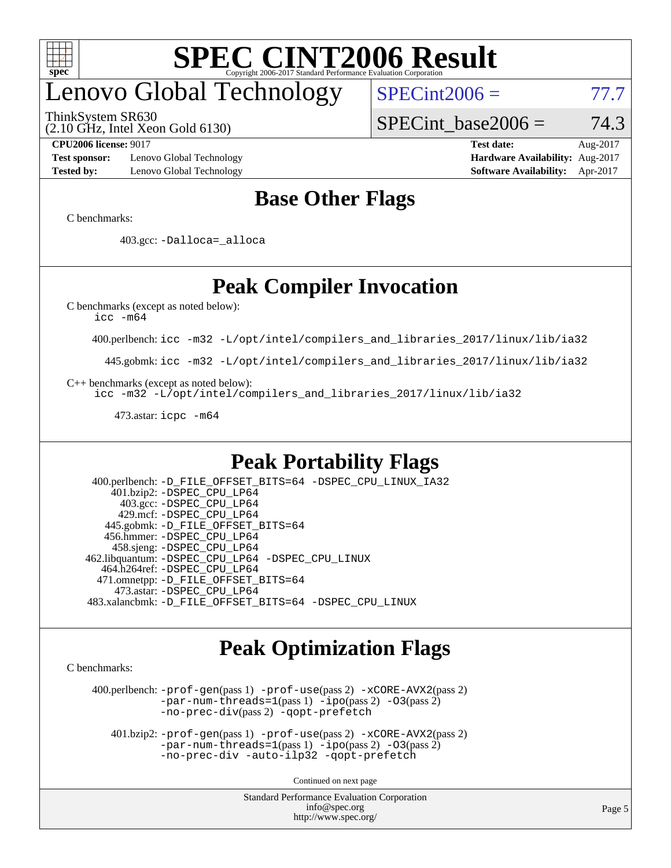

# enovo Global Technology

ThinkSystem SR630

(2.10 GHz, Intel Xeon Gold 6130)

 $SPECint2006 = 77.7$  $SPECint2006 = 77.7$ 

SPECint base2006 =  $74.3$ 

**[Test sponsor:](http://www.spec.org/auto/cpu2006/Docs/result-fields.html#Testsponsor)** Lenovo Global Technology **[Hardware Availability:](http://www.spec.org/auto/cpu2006/Docs/result-fields.html#HardwareAvailability)** Aug-2017 **[Tested by:](http://www.spec.org/auto/cpu2006/Docs/result-fields.html#Testedby)** Lenovo Global Technology **[Software Availability:](http://www.spec.org/auto/cpu2006/Docs/result-fields.html#SoftwareAvailability)** Apr-2017

**[CPU2006 license:](http://www.spec.org/auto/cpu2006/Docs/result-fields.html#CPU2006license)** 9017 **[Test date:](http://www.spec.org/auto/cpu2006/Docs/result-fields.html#Testdate)** Aug-2017

#### **[Base Other Flags](http://www.spec.org/auto/cpu2006/Docs/result-fields.html#BaseOtherFlags)**

[C benchmarks](http://www.spec.org/auto/cpu2006/Docs/result-fields.html#Cbenchmarks):

403.gcc: [-Dalloca=\\_alloca](http://www.spec.org/cpu2006/results/res2017q4/cpu2006-20170918-49534.flags.html#b403.gcc_baseEXTRA_CFLAGS_Dalloca_be3056838c12de2578596ca5467af7f3)

### **[Peak Compiler Invocation](http://www.spec.org/auto/cpu2006/Docs/result-fields.html#PeakCompilerInvocation)**

[C benchmarks \(except as noted below\)](http://www.spec.org/auto/cpu2006/Docs/result-fields.html#Cbenchmarksexceptasnotedbelow):

[icc -m64](http://www.spec.org/cpu2006/results/res2017q4/cpu2006-20170918-49534.flags.html#user_CCpeak_intel_icc_64bit_bda6cc9af1fdbb0edc3795bac97ada53)

400.perlbench: [icc -m32 -L/opt/intel/compilers\\_and\\_libraries\\_2017/linux/lib/ia32](http://www.spec.org/cpu2006/results/res2017q4/cpu2006-20170918-49534.flags.html#user_peakCCLD400_perlbench_intel_icc_c29f3ff5a7ed067b11e4ec10a03f03ae)

445.gobmk: [icc -m32 -L/opt/intel/compilers\\_and\\_libraries\\_2017/linux/lib/ia32](http://www.spec.org/cpu2006/results/res2017q4/cpu2006-20170918-49534.flags.html#user_peakCCLD445_gobmk_intel_icc_c29f3ff5a7ed067b11e4ec10a03f03ae)

[C++ benchmarks \(except as noted below\):](http://www.spec.org/auto/cpu2006/Docs/result-fields.html#CXXbenchmarksexceptasnotedbelow)

[icc -m32 -L/opt/intel/compilers\\_and\\_libraries\\_2017/linux/lib/ia32](http://www.spec.org/cpu2006/results/res2017q4/cpu2006-20170918-49534.flags.html#user_CXXpeak_intel_icc_c29f3ff5a7ed067b11e4ec10a03f03ae)

473.astar: [icpc -m64](http://www.spec.org/cpu2006/results/res2017q4/cpu2006-20170918-49534.flags.html#user_peakCXXLD473_astar_intel_icpc_64bit_fc66a5337ce925472a5c54ad6a0de310)

#### **[Peak Portability Flags](http://www.spec.org/auto/cpu2006/Docs/result-fields.html#PeakPortabilityFlags)**

 400.perlbench: [-D\\_FILE\\_OFFSET\\_BITS=64](http://www.spec.org/cpu2006/results/res2017q4/cpu2006-20170918-49534.flags.html#user_peakPORTABILITY400_perlbench_file_offset_bits_64_438cf9856305ebd76870a2c6dc2689ab) [-DSPEC\\_CPU\\_LINUX\\_IA32](http://www.spec.org/cpu2006/results/res2017q4/cpu2006-20170918-49534.flags.html#b400.perlbench_peakCPORTABILITY_DSPEC_CPU_LINUX_IA32) 401.bzip2: [-DSPEC\\_CPU\\_LP64](http://www.spec.org/cpu2006/results/res2017q4/cpu2006-20170918-49534.flags.html#suite_peakPORTABILITY401_bzip2_DSPEC_CPU_LP64) 403.gcc: [-DSPEC\\_CPU\\_LP64](http://www.spec.org/cpu2006/results/res2017q4/cpu2006-20170918-49534.flags.html#suite_peakPORTABILITY403_gcc_DSPEC_CPU_LP64) 429.mcf: [-DSPEC\\_CPU\\_LP64](http://www.spec.org/cpu2006/results/res2017q4/cpu2006-20170918-49534.flags.html#suite_peakPORTABILITY429_mcf_DSPEC_CPU_LP64) 445.gobmk: [-D\\_FILE\\_OFFSET\\_BITS=64](http://www.spec.org/cpu2006/results/res2017q4/cpu2006-20170918-49534.flags.html#user_peakPORTABILITY445_gobmk_file_offset_bits_64_438cf9856305ebd76870a2c6dc2689ab) 456.hmmer: [-DSPEC\\_CPU\\_LP64](http://www.spec.org/cpu2006/results/res2017q4/cpu2006-20170918-49534.flags.html#suite_peakPORTABILITY456_hmmer_DSPEC_CPU_LP64) 458.sjeng: [-DSPEC\\_CPU\\_LP64](http://www.spec.org/cpu2006/results/res2017q4/cpu2006-20170918-49534.flags.html#suite_peakPORTABILITY458_sjeng_DSPEC_CPU_LP64) 462.libquantum: [-DSPEC\\_CPU\\_LP64](http://www.spec.org/cpu2006/results/res2017q4/cpu2006-20170918-49534.flags.html#suite_peakPORTABILITY462_libquantum_DSPEC_CPU_LP64) [-DSPEC\\_CPU\\_LINUX](http://www.spec.org/cpu2006/results/res2017q4/cpu2006-20170918-49534.flags.html#b462.libquantum_peakCPORTABILITY_DSPEC_CPU_LINUX) 464.h264ref: [-DSPEC\\_CPU\\_LP64](http://www.spec.org/cpu2006/results/res2017q4/cpu2006-20170918-49534.flags.html#suite_peakPORTABILITY464_h264ref_DSPEC_CPU_LP64) 471.omnetpp: [-D\\_FILE\\_OFFSET\\_BITS=64](http://www.spec.org/cpu2006/results/res2017q4/cpu2006-20170918-49534.flags.html#user_peakPORTABILITY471_omnetpp_file_offset_bits_64_438cf9856305ebd76870a2c6dc2689ab) 473.astar: [-DSPEC\\_CPU\\_LP64](http://www.spec.org/cpu2006/results/res2017q4/cpu2006-20170918-49534.flags.html#suite_peakPORTABILITY473_astar_DSPEC_CPU_LP64) 483.xalancbmk: [-D\\_FILE\\_OFFSET\\_BITS=64](http://www.spec.org/cpu2006/results/res2017q4/cpu2006-20170918-49534.flags.html#user_peakPORTABILITY483_xalancbmk_file_offset_bits_64_438cf9856305ebd76870a2c6dc2689ab) [-DSPEC\\_CPU\\_LINUX](http://www.spec.org/cpu2006/results/res2017q4/cpu2006-20170918-49534.flags.html#b483.xalancbmk_peakCXXPORTABILITY_DSPEC_CPU_LINUX)

#### **[Peak Optimization Flags](http://www.spec.org/auto/cpu2006/Docs/result-fields.html#PeakOptimizationFlags)**

[C benchmarks](http://www.spec.org/auto/cpu2006/Docs/result-fields.html#Cbenchmarks):

 400.perlbench: [-prof-gen](http://www.spec.org/cpu2006/results/res2017q4/cpu2006-20170918-49534.flags.html#user_peakPASS1_CFLAGSPASS1_LDCFLAGS400_perlbench_prof_gen_e43856698f6ca7b7e442dfd80e94a8fc)(pass 1) [-prof-use](http://www.spec.org/cpu2006/results/res2017q4/cpu2006-20170918-49534.flags.html#user_peakPASS2_CFLAGSPASS2_LDCFLAGS400_perlbench_prof_use_bccf7792157ff70d64e32fe3e1250b55)(pass 2) [-xCORE-AVX2](http://www.spec.org/cpu2006/results/res2017q4/cpu2006-20170918-49534.flags.html#user_peakPASS2_CFLAGSPASS2_LDCFLAGS400_perlbench_f-xCORE-AVX2)(pass 2) [-par-num-threads=1](http://www.spec.org/cpu2006/results/res2017q4/cpu2006-20170918-49534.flags.html#user_peakPASS1_CFLAGSPASS1_LDCFLAGS400_perlbench_par_num_threads_786a6ff141b4e9e90432e998842df6c2)(pass 1) [-ipo](http://www.spec.org/cpu2006/results/res2017q4/cpu2006-20170918-49534.flags.html#user_peakPASS2_CFLAGSPASS2_LDCFLAGS400_perlbench_f-ipo)(pass 2) [-O3](http://www.spec.org/cpu2006/results/res2017q4/cpu2006-20170918-49534.flags.html#user_peakPASS2_CFLAGSPASS2_LDCFLAGS400_perlbench_f-O3)(pass 2) [-no-prec-div](http://www.spec.org/cpu2006/results/res2017q4/cpu2006-20170918-49534.flags.html#user_peakPASS2_CFLAGSPASS2_LDCFLAGS400_perlbench_f-no-prec-div)(pass 2) [-qopt-prefetch](http://www.spec.org/cpu2006/results/res2017q4/cpu2006-20170918-49534.flags.html#user_peakCOPTIMIZE400_perlbench_f-qopt-prefetch)

 401.bzip2: [-prof-gen](http://www.spec.org/cpu2006/results/res2017q4/cpu2006-20170918-49534.flags.html#user_peakPASS1_CFLAGSPASS1_LDCFLAGS401_bzip2_prof_gen_e43856698f6ca7b7e442dfd80e94a8fc)(pass 1) [-prof-use](http://www.spec.org/cpu2006/results/res2017q4/cpu2006-20170918-49534.flags.html#user_peakPASS2_CFLAGSPASS2_LDCFLAGS401_bzip2_prof_use_bccf7792157ff70d64e32fe3e1250b55)(pass 2) [-xCORE-AVX2](http://www.spec.org/cpu2006/results/res2017q4/cpu2006-20170918-49534.flags.html#user_peakPASS2_CFLAGSPASS2_LDCFLAGS401_bzip2_f-xCORE-AVX2)(pass 2)  $-par-num-threads=1(pass 1) -ipo(pass 2) -O3(pass 2)$  $-par-num-threads=1(pass 1) -ipo(pass 2) -O3(pass 2)$  $-par-num-threads=1(pass 1) -ipo(pass 2) -O3(pass 2)$  $-par-num-threads=1(pass 1) -ipo(pass 2) -O3(pass 2)$  $-par-num-threads=1(pass 1) -ipo(pass 2) -O3(pass 2)$  $-par-num-threads=1(pass 1) -ipo(pass 2) -O3(pass 2)$ [-no-prec-div](http://www.spec.org/cpu2006/results/res2017q4/cpu2006-20170918-49534.flags.html#user_peakCOPTIMIZEPASS2_CFLAGSPASS2_LDCFLAGS401_bzip2_f-no-prec-div) [-auto-ilp32](http://www.spec.org/cpu2006/results/res2017q4/cpu2006-20170918-49534.flags.html#user_peakCOPTIMIZE401_bzip2_f-auto-ilp32) [-qopt-prefetch](http://www.spec.org/cpu2006/results/res2017q4/cpu2006-20170918-49534.flags.html#user_peakCOPTIMIZE401_bzip2_f-qopt-prefetch)

Continued on next page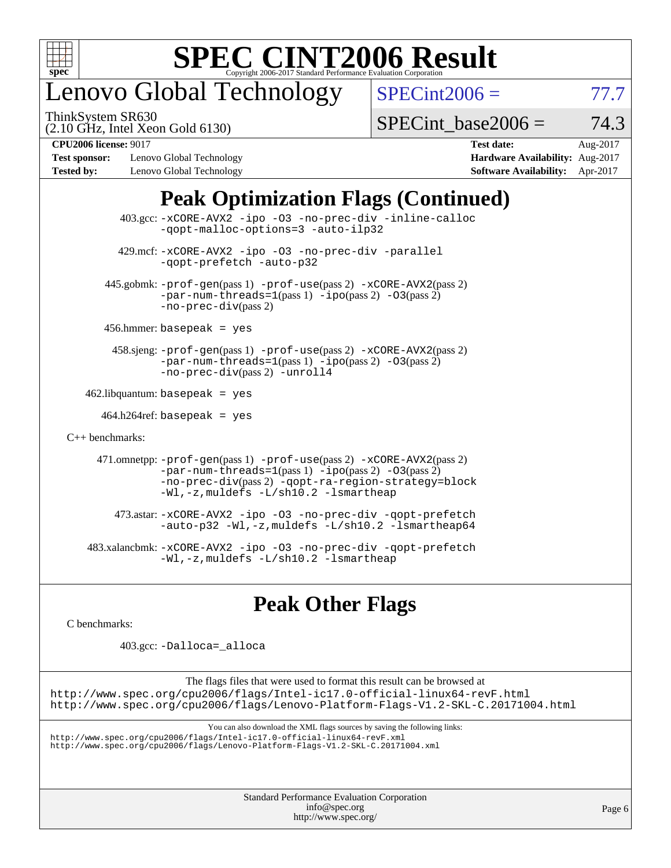

## enovo Global Technology

ThinkSystem SR630

 $SPECint2006 = 77.7$  $SPECint2006 = 77.7$ 

(2.10 GHz, Intel Xeon Gold 6130)

SPECint base2006 =  $74.3$ 

**[Test sponsor:](http://www.spec.org/auto/cpu2006/Docs/result-fields.html#Testsponsor)** Lenovo Global Technology **[Hardware Availability:](http://www.spec.org/auto/cpu2006/Docs/result-fields.html#HardwareAvailability)** Aug-2017 **[Tested by:](http://www.spec.org/auto/cpu2006/Docs/result-fields.html#Testedby)** Lenovo Global Technology **[Software Availability:](http://www.spec.org/auto/cpu2006/Docs/result-fields.html#SoftwareAvailability)** Apr-2017

**[CPU2006 license:](http://www.spec.org/auto/cpu2006/Docs/result-fields.html#CPU2006license)** 9017 **[Test date:](http://www.spec.org/auto/cpu2006/Docs/result-fields.html#Testdate)** Aug-2017

### **[Peak Optimization Flags \(Continued\)](http://www.spec.org/auto/cpu2006/Docs/result-fields.html#PeakOptimizationFlags)**

| 403.gcc: -xCORE-AVX2 -ipo -03 -no-prec-div -inline-calloc<br>-gopt-malloc-options=3 -auto-ilp32                                                                                                                               |  |
|-------------------------------------------------------------------------------------------------------------------------------------------------------------------------------------------------------------------------------|--|
| 429.mcf: -xCORE-AVX2 -ipo -03 -no-prec-div -parallel<br>-gopt-prefetch -auto-p32                                                                                                                                              |  |
| 445.gobmk: -prof-gen(pass 1) -prof-use(pass 2) -xCORE-AVX2(pass 2)<br>$-par-num-threads=1(pass 1) -ipo(pass 2) -03(pass 2)$<br>$-no-prec-div(pass 2)$                                                                         |  |
| $456.$ hmmer: basepeak = yes                                                                                                                                                                                                  |  |
| 458.sjeng: -prof-gen(pass 1) -prof-use(pass 2) -xCORE-AVX2(pass 2)<br>$-par-num-threads=1(pass 1) -ipo(pass 2) -03(pass 2)$<br>-no-prec-div(pass 2) -unroll4                                                                  |  |
| $462$ .libquantum: basepeak = yes                                                                                                                                                                                             |  |
| $464.h264$ ref: basepeak = yes                                                                                                                                                                                                |  |
| $C_{++}$ benchmarks:                                                                                                                                                                                                          |  |
| 471.omnetpp: -prof-gen(pass 1) -prof-use(pass 2) -xCORE-AVX2(pass 2)<br>$-par-num-threads=1(pass 1) -ipo(pass 2) -03(pass 2)$<br>-no-prec-div(pass 2) -qopt-ra-region-strategy=block<br>-Wl,-z, muldefs -L/sh10.2 -lsmartheap |  |
| 473.astar: -xCORE-AVX2 -ipo -03 -no-prec-div -qopt-prefetch<br>-auto-p32 -Wl,-z, muldefs -L/sh10.2 -lsmartheap64                                                                                                              |  |
| 483.xalancbmk:-xCORE-AVX2 -ipo -03 -no-prec-div -qopt-prefetch<br>-Wl,-z, muldefs -L/sh10.2 -lsmartheap                                                                                                                       |  |

### **[Peak Other Flags](http://www.spec.org/auto/cpu2006/Docs/result-fields.html#PeakOtherFlags)**

[C benchmarks](http://www.spec.org/auto/cpu2006/Docs/result-fields.html#Cbenchmarks):

403.gcc: [-Dalloca=\\_alloca](http://www.spec.org/cpu2006/results/res2017q4/cpu2006-20170918-49534.flags.html#b403.gcc_peakEXTRA_CFLAGS_Dalloca_be3056838c12de2578596ca5467af7f3)

The flags files that were used to format this result can be browsed at <http://www.spec.org/cpu2006/flags/Intel-ic17.0-official-linux64-revF.html> <http://www.spec.org/cpu2006/flags/Lenovo-Platform-Flags-V1.2-SKL-C.20171004.html>

You can also download the XML flags sources by saving the following links:

<http://www.spec.org/cpu2006/flags/Intel-ic17.0-official-linux64-revF.xml> <http://www.spec.org/cpu2006/flags/Lenovo-Platform-Flags-V1.2-SKL-C.20171004.xml>